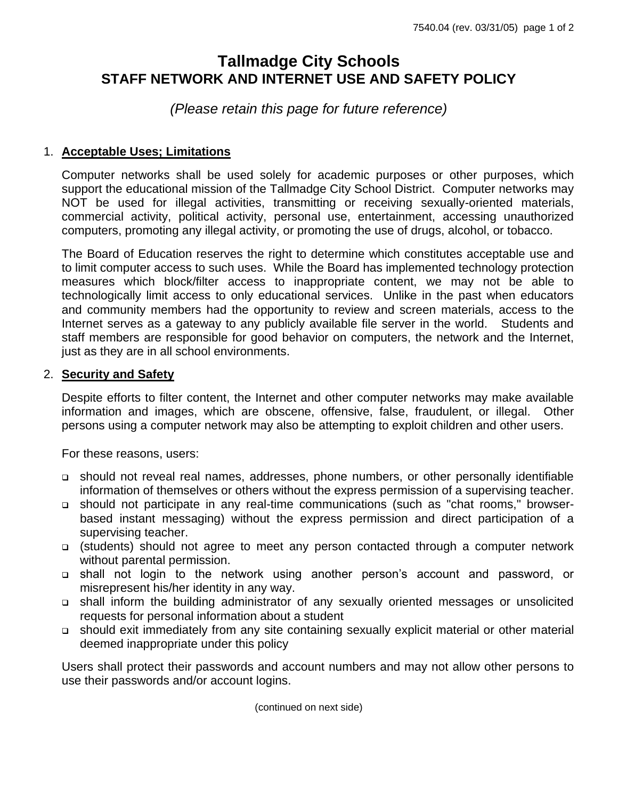# **Tallmadge City Schools STAFF NETWORK AND INTERNET USE AND SAFETY POLICY**

*(Please retain this page for future reference)* 

## 1. **Acceptable Uses; Limitations**

Computer networks shall be used solely for academic purposes or other purposes, which support the educational mission of the Tallmadge City School District. Computer networks may NOT be used for illegal activities, transmitting or receiving sexually-oriented materials, commercial activity, political activity, personal use, entertainment, accessing unauthorized computers, promoting any illegal activity, or promoting the use of drugs, alcohol, or tobacco.

The Board of Education reserves the right to determine which constitutes acceptable use and to limit computer access to such uses. While the Board has implemented technology protection measures which block/filter access to inappropriate content, we may not be able to technologically limit access to only educational services. Unlike in the past when educators and community members had the opportunity to review and screen materials, access to the Internet serves as a gateway to any publicly available file server in the world. Students and staff members are responsible for good behavior on computers, the network and the Internet, just as they are in all school environments.

#### 2. **Security and Safety**

Despite efforts to filter content, the Internet and other computer networks may make available information and images, which are obscene, offensive, false, fraudulent, or illegal. Other persons using a computer network may also be attempting to exploit children and other users.

For these reasons, users:

- should not reveal real names, addresses, phone numbers, or other personally identifiable information of themselves or others without the express permission of a supervising teacher.
- should not participate in any real-time communications (such as "chat rooms," browserbased instant messaging) without the express permission and direct participation of a supervising teacher.
- (students) should not agree to meet any person contacted through a computer network without parental permission.
- shall not login to the network using another person's account and password, or misrepresent his/her identity in any way.
- shall inform the building administrator of any sexually oriented messages or unsolicited requests for personal information about a student
- should exit immediately from any site containing sexually explicit material or other material deemed inappropriate under this policy

Users shall protect their passwords and account numbers and may not allow other persons to use their passwords and/or account logins.

(continued on next side)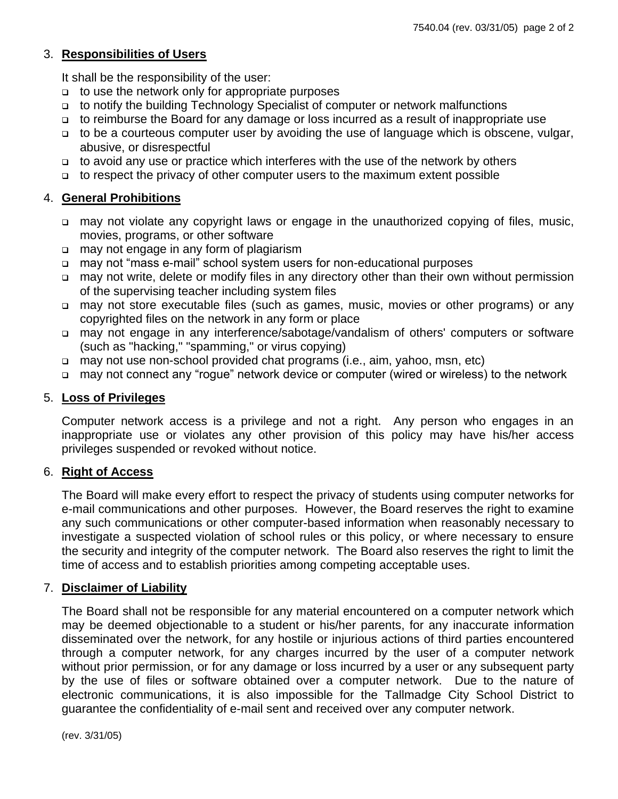## 3. **Responsibilities of Users**

It shall be the responsibility of the user:

- to use the network only for appropriate purposes
- to notify the building Technology Specialist of computer or network malfunctions
- to reimburse the Board for any damage or loss incurred as a result of inappropriate use
- to be a courteous computer user by avoiding the use of language which is obscene, vulgar, abusive, or disrespectful
- to avoid any use or practice which interferes with the use of the network by others
- to respect the privacy of other computer users to the maximum extent possible

## 4. **General Prohibitions**

- may not violate any copyright laws or engage in the unauthorized copying of files, music, movies, programs, or other software
- may not engage in any form of plagiarism
- □ may not "mass e-mail" school system users for non-educational purposes
- □ may not write, delete or modify files in any directory other than their own without permission of the supervising teacher including system files
- may not store executable files (such as games, music, movies or other programs) or any copyrighted files on the network in any form or place
- may not engage in any interference/sabotage/vandalism of others' computers or software (such as "hacking," "spamming," or virus copying)
- □ may not use non-school provided chat programs (i.e., aim, yahoo, msn, etc)
- may not connect any "rogue" network device or computer (wired or wireless) to the network

## 5. **Loss of Privileges**

Computer network access is a privilege and not a right. Any person who engages in an inappropriate use or violates any other provision of this policy may have his/her access privileges suspended or revoked without notice.

## 6. **Right of Access**

The Board will make every effort to respect the privacy of students using computer networks for e-mail communications and other purposes. However, the Board reserves the right to examine any such communications or other computer-based information when reasonably necessary to investigate a suspected violation of school rules or this policy, or where necessary to ensure the security and integrity of the computer network. The Board also reserves the right to limit the time of access and to establish priorities among competing acceptable uses.

## 7. **Disclaimer of Liability**

The Board shall not be responsible for any material encountered on a computer network which may be deemed objectionable to a student or his/her parents, for any inaccurate information disseminated over the network, for any hostile or injurious actions of third parties encountered through a computer network, for any charges incurred by the user of a computer network without prior permission, or for any damage or loss incurred by a user or any subsequent party by the use of files or software obtained over a computer network. Due to the nature of electronic communications, it is also impossible for the Tallmadge City School District to guarantee the confidentiality of e-mail sent and received over any computer network.